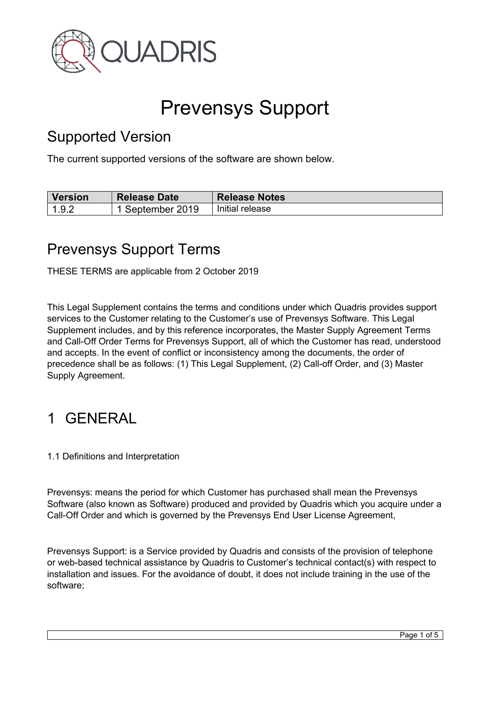

# Prevensys Support

#### Supported Version

The current supported versions of the software are shown below.

| <b>Version</b> | <b>Release Date</b> | <b>Release Notes</b> |
|----------------|---------------------|----------------------|
| 192            | September 2019      | Initial release      |

#### Prevensys Support Terms

THESE TERMS are applicable from 2 October 2019

This Legal Supplement contains the terms and conditions under which Quadris provides support services to the Customer relating to the Customer's use of Prevensys Software. This Legal Supplement includes, and by this reference incorporates, the Master Supply Agreement Terms and Call-Off Order Terms for Prevensys Support, all of which the Customer has read, understood and accepts. In the event of conflict or inconsistency among the documents, the order of precedence shall be as follows: (1) This Legal Supplement, (2) Call-off Order, and (3) Master Supply Agreement.

## 1 GENERAL

1.1 Definitions and Interpretation

Prevensys: means the period for which Customer has purchased shall mean the Prevensys Software (also known as Software) produced and provided by Quadris which you acquire under a Call-Off Order and which is governed by the Prevensys End User License Agreement,

Prevensys Support: is a Service provided by Quadris and consists of the provision of telephone or web-based technical assistance by Quadris to Customer's technical contact(s) with respect to installation and issues. For the avoidance of doubt, it does not include training in the use of the software;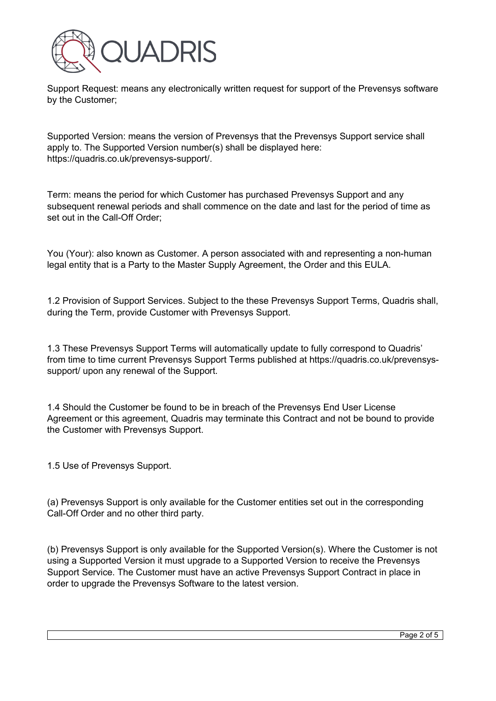

Support Request: means any electronically written request for support of the Prevensys software by the Customer;

Supported Version: means the version of Prevensys that the Prevensys Support service shall apply to. The Supported Version number(s) shall be displayed here: https://quadris.co.uk/prevensys-support/.

Term: means the period for which Customer has purchased Prevensys Support and any subsequent renewal periods and shall commence on the date and last for the period of time as set out in the Call-Off Order;

You (Your): also known as Customer. A person associated with and representing a non-human legal entity that is a Party to the Master Supply Agreement, the Order and this EULA.

1.2 Provision of Support Services. Subject to the these Prevensys Support Terms, Quadris shall, during the Term, provide Customer with Prevensys Support.

1.3 These Prevensys Support Terms will automatically update to fully correspond to Quadris' from time to time current Prevensys Support Terms published at https://quadris.co.uk/prevensyssupport/ upon any renewal of the Support.

1.4 Should the Customer be found to be in breach of the Prevensys End User License Agreement or this agreement, Quadris may terminate this Contract and not be bound to provide the Customer with Prevensys Support.

1.5 Use of Prevensys Support.

(a) Prevensys Support is only available for the Customer entities set out in the corresponding Call-Off Order and no other third party.

(b) Prevensys Support is only available for the Supported Version(s). Where the Customer is not using a Supported Version it must upgrade to a Supported Version to receive the Prevensys Support Service. The Customer must have an active Prevensys Support Contract in place in order to upgrade the Prevensys Software to the latest version.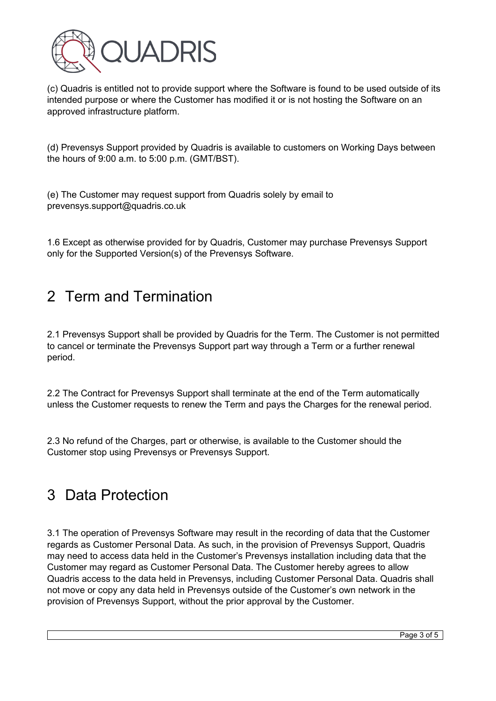

(c) Quadris is entitled not to provide support where the Software is found to be used outside of its intended purpose or where the Customer has modified it or is not hosting the Software on an approved infrastructure platform.

(d) Prevensys Support provided by Quadris is available to customers on Working Days between the hours of 9:00 a.m. to 5:00 p.m. (GMT/BST).

(e) The Customer may request support from Quadris solely by email to prevensys.support@quadris.co.uk

1.6 Except as otherwise provided for by Quadris, Customer may purchase Prevensys Support only for the Supported Version(s) of the Prevensys Software.

## 2 Term and Termination

2.1 Prevensys Support shall be provided by Quadris for the Term. The Customer is not permitted to cancel or terminate the Prevensys Support part way through a Term or a further renewal period.

2.2 The Contract for Prevensys Support shall terminate at the end of the Term automatically unless the Customer requests to renew the Term and pays the Charges for the renewal period.

2.3 No refund of the Charges, part or otherwise, is available to the Customer should the Customer stop using Prevensys or Prevensys Support.

#### 3 Data Protection

3.1 The operation of Prevensys Software may result in the recording of data that the Customer regards as Customer Personal Data. As such, in the provision of Prevensys Support, Quadris may need to access data held in the Customer's Prevensys installation including data that the Customer may regard as Customer Personal Data. The Customer hereby agrees to allow Quadris access to the data held in Prevensys, including Customer Personal Data. Quadris shall not move or copy any data held in Prevensys outside of the Customer's own network in the provision of Prevensys Support, without the prior approval by the Customer.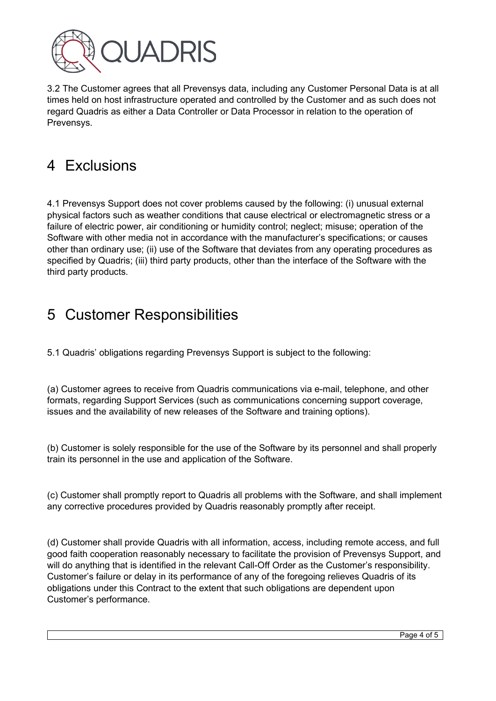

3.2 The Customer agrees that all Prevensys data, including any Customer Personal Data is at all times held on host infrastructure operated and controlled by the Customer and as such does not regard Quadris as either a Data Controller or Data Processor in relation to the operation of Prevensys.

# 4 Exclusions

4.1 Prevensys Support does not cover problems caused by the following: (i) unusual external physical factors such as weather conditions that cause electrical or electromagnetic stress or a failure of electric power, air conditioning or humidity control; neglect; misuse; operation of the Software with other media not in accordance with the manufacturer's specifications; or causes other than ordinary use; (ii) use of the Software that deviates from any operating procedures as specified by Quadris; (iii) third party products, other than the interface of the Software with the third party products.

### 5 Customer Responsibilities

5.1 Quadris' obligations regarding Prevensys Support is subject to the following:

(a) Customer agrees to receive from Quadris communications via e-mail, telephone, and other formats, regarding Support Services (such as communications concerning support coverage, issues and the availability of new releases of the Software and training options).

(b) Customer is solely responsible for the use of the Software by its personnel and shall properly train its personnel in the use and application of the Software.

(c) Customer shall promptly report to Quadris all problems with the Software, and shall implement any corrective procedures provided by Quadris reasonably promptly after receipt.

(d) Customer shall provide Quadris with all information, access, including remote access, and full good faith cooperation reasonably necessary to facilitate the provision of Prevensys Support, and will do anything that is identified in the relevant Call-Off Order as the Customer's responsibility. Customer's failure or delay in its performance of any of the foregoing relieves Quadris of its obligations under this Contract to the extent that such obligations are dependent upon Customer's performance.